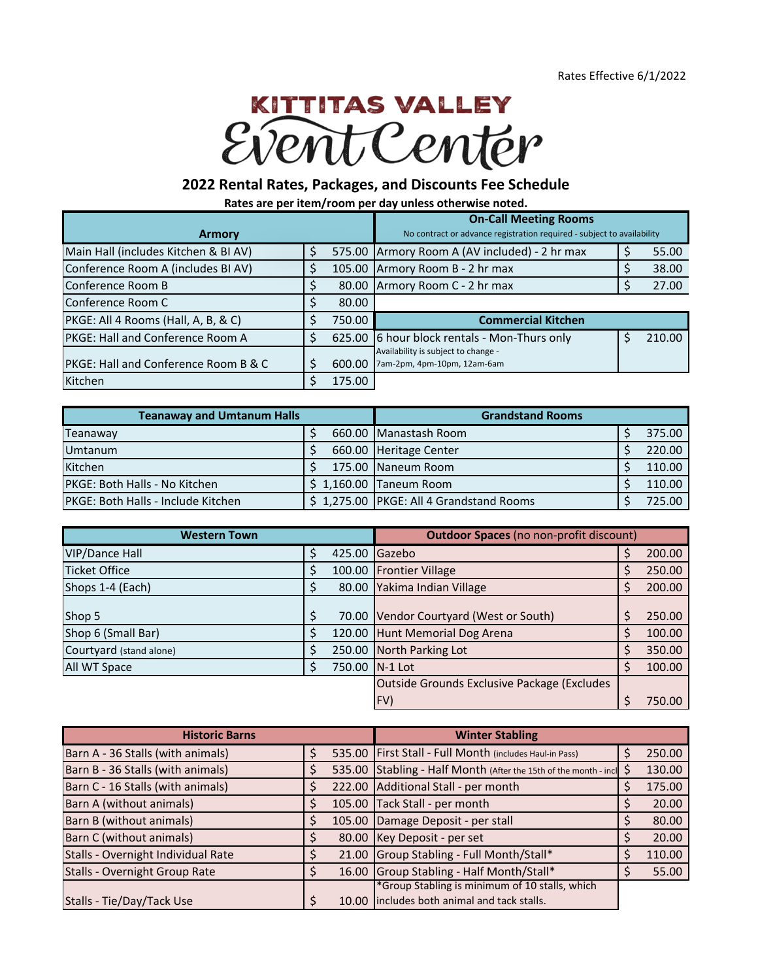## **KITTITAS VALLEY** Vent Center

## **2022 Rental Rates, Packages, and Discounts Fee Schedule**

**Rates are per item/room per day unless otherwise noted.**

|                                                 |    |        | <b>On-Call Meeting Rooms</b>                                           |  |        |  |
|-------------------------------------------------|----|--------|------------------------------------------------------------------------|--|--------|--|
| <b>Armory</b>                                   |    |        | No contract or advance registration required - subject to availability |  |        |  |
| Main Hall (includes Kitchen & BI AV)            |    |        | 575.00 Armory Room A (AV included) - 2 hr max                          |  | 55.00  |  |
| Conference Room A (includes BI AV)              |    |        | 105.00 Armory Room B - 2 hr max                                        |  | 38.00  |  |
| Conference Room B                               |    | 80.00  | Armory Room C - 2 hr max                                               |  | 27.00  |  |
| Conference Room C                               |    | 80.00  |                                                                        |  |        |  |
| PKGE: All 4 Rooms (Hall, A, B, & C)             |    | 750.00 | <b>Commercial Kitchen</b>                                              |  |        |  |
| PKGE: Hall and Conference Room A                |    |        | 625.00 6 hour block rentals - Mon-Thurs only                           |  | 210.00 |  |
| <b>PKGE: Hall and Conference Room B &amp; C</b> |    | 600.00 | Availability is subject to change -<br>7am-2pm, 4pm-10pm, 12am-6am     |  |        |  |
| Kitchen                                         | \$ | 175.00 |                                                                        |  |        |  |

| <b>Teanaway and Umtanum Halls</b>          | <b>Grandstand Rooms</b>                 |        |
|--------------------------------------------|-----------------------------------------|--------|
| Teanaway                                   | 660.00 Manastash Room                   | 375.00 |
| <b>Umtanum</b>                             | 660.00 Heritage Center                  | 220.00 |
| Kitchen                                    | 175.00 Naneum Room                      | 110.00 |
| <b>PKGE: Both Halls - No Kitchen</b>       | $$1,160.00$ Taneum Room                 | 110.00 |
| <b>IPKGE: Both Halls - Include Kitchen</b> | \$1,275.00 PKGE: All 4 Grandstand Rooms | 725.00 |

| <b>Western Town</b>     |    |        | <b>Outdoor Spaces (no non-profit discount)</b> |  |        |  |
|-------------------------|----|--------|------------------------------------------------|--|--------|--|
| <b>VIP/Dance Hall</b>   | \$ | 425.00 | Gazebo                                         |  | 200.00 |  |
| <b>Ticket Office</b>    |    | 100.00 | <b>Frontier Village</b>                        |  | 250.00 |  |
| Shops 1-4 (Each)        | S  | 80.00  | Yakima Indian Village                          |  | 200.00 |  |
| Shop 5                  |    | 70.00  | Vendor Courtyard (West or South)               |  | 250.00 |  |
| Shop 6 (Small Bar)      |    | 120.00 | Hunt Memorial Dog Arena                        |  | 100.00 |  |
| Courtyard (stand alone) |    | 250.00 | North Parking Lot                              |  | 350.00 |  |
| All WT Space            | S  |        | 750.00 N-1 Lot                                 |  | 100.00 |  |
|                         |    |        | Outside Grounds Exclusive Package (Excludes    |  |        |  |
|                         |    |        | FV)                                            |  | 750.00 |  |

| <b>Historic Barns</b>                |        | <b>Winter Stabling</b>                                           |        |
|--------------------------------------|--------|------------------------------------------------------------------|--------|
| Barn A - 36 Stalls (with animals)    |        | 535.00 First Stall - Full Month (includes Haul-in Pass)          | 250.00 |
| Barn B - 36 Stalls (with animals)    |        | 535.00 Stabling - Half Month (After the 15th of the month - incl | 130.00 |
| Barn C - 16 Stalls (with animals)    |        | 222.00 Additional Stall - per month                              | 175.00 |
| Barn A (without animals)             | 105.00 | Tack Stall - per month                                           | 20.00  |
| Barn B (without animals)             | 105.00 | Damage Deposit - per stall                                       | 80.00  |
| Barn C (without animals)             | 80.00  | Key Deposit - per set                                            | 20.00  |
| Stalls - Overnight Individual Rate   |        | 21.00 Group Stabling - Full Month/Stall*                         | 110.00 |
| <b>Stalls - Overnight Group Rate</b> |        | 16.00 Group Stabling - Half Month/Stall*                         | 55.00  |
|                                      |        | *Group Stabling is minimum of 10 stalls, which                   |        |
| Stalls - Tie/Day/Tack Use            | 10.00  | includes both animal and tack stalls.                            |        |